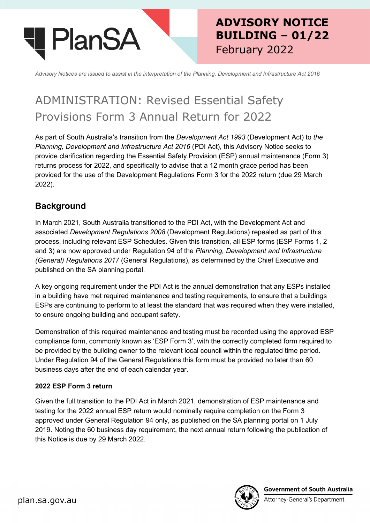

## **ADVISORY NOTICE BUILDING – 01/22** February 2022

*Advisory Notices are issued to assist in the interpretation of the Planning, Development and Infrastructure Act 2016*

# ADMINISTRATION: Revised Essential Safety Provisions Form 3 Annual Return for 2022

As part of South Australia's transition from the *Development Act 1993* (Development Act) to *the Planning, Development and Infrastructure Act 2016* (PDI Act), this Advisory Notice seeks to provide clarification regarding the Essential Safety Provision (ESP) annual maintenance (Form 3) returns process for 2022, and specifically to advise that a 12 month grace period has been provided for the use of the Development Regulations Form 3 for the 2022 return (due 29 March 2022).

## **Background**

In March 2021, South Australia transitioned to the PDI Act, with the Development Act and associated *Development Regulations 2008* (Development Regulations) repealed as part of this process, including relevant ESP Schedules. Given this transition, all ESP forms (ESP Forms 1, 2 and 3) are now approved under Regulation 94 of the *Planning, Development and Infrastructure (General) Regulations 2017* (General Regulations), as determined by the Chief Executive and published on the SA planning portal.

A key ongoing requirement under the PDI Act is the annual demonstration that any ESPs installed in a building have met required maintenance and testing requirements, to ensure that a buildings ESPs are continuing to perform to at least the standard that was required when they were installed, to ensure ongoing building and occupant safety.

Demonstration of this required maintenance and testing must be recorded using the approved ESP compliance form, commonly known as 'ESP Form 3', with the correctly completed form required to be provided by the building owner to the relevant local council within the regulated time period. Under Regulation 94 of the General Regulations this form must be provided no later than 60 business days after the end of each calendar year.

#### **2022 ESP Form 3 return**

Given the full transition to the PDI Act in March 2021, demonstration of ESP maintenance and testing for the 2022 annual ESP return would nominally require completion on the Form 3 approved under General Regulation 94 only, as published on the SA planning portal on 1 July 2019. Noting the 60 business day requirement, the next annual return following the publication of this Notice is due by 29 March 2022.



**Government of South Australia** Attorney-General's Department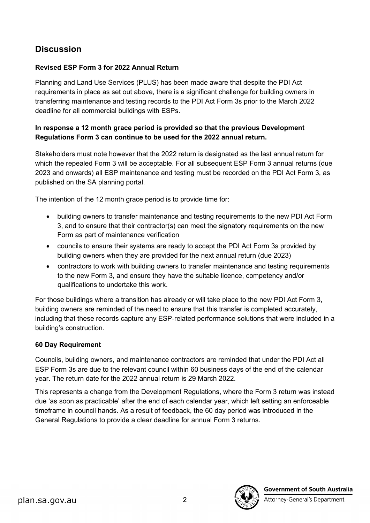## **Discussion**

#### **Revised ESP Form 3 for 2022 Annual Return**

Planning and Land Use Services (PLUS) has been made aware that despite the PDI Act requirements in place as set out above, there is a significant challenge for building owners in transferring maintenance and testing records to the PDI Act Form 3s prior to the March 2022 deadline for all commercial buildings with ESPs.

#### **In response a 12 month grace period is provided so that the previous Development Regulations Form 3 can continue to be used for the 2022 annual return.**

Stakeholders must note however that the 2022 return is designated as the last annual return for which the repealed Form 3 will be acceptable. For all subsequent ESP Form 3 annual returns (due 2023 and onwards) all ESP maintenance and testing must be recorded on the PDI Act Form 3, as published on the SA planning portal.

The intention of the 12 month grace period is to provide time for:

- building owners to transfer maintenance and testing requirements to the new PDI Act Form 3, and to ensure that their contractor(s) can meet the signatory requirements on the new Form as part of maintenance verification
- councils to ensure their systems are ready to accept the PDI Act Form 3s provided by building owners when they are provided for the next annual return (due 2023)
- contractors to work with building owners to transfer maintenance and testing requirements to the new Form 3, and ensure they have the suitable licence, competency and/or qualifications to undertake this work.

For those buildings where a transition has already or will take place to the new PDI Act Form 3, building owners are reminded of the need to ensure that this transfer is completed accurately, including that these records capture any ESP-related performance solutions that were included in a building's construction.

#### **60 Day Requirement**

Councils, building owners, and maintenance contractors are reminded that under the PDI Act all ESP Form 3s are due to the relevant council within 60 business days of the end of the calendar year. The return date for the 2022 annual return is 29 March 2022.

This represents a change from the Development Regulations, where the Form 3 return was instead due 'as soon as practicable' after the end of each calendar year, which left setting an enforceable timeframe in council hands. As a result of feedback, the 60 day period was introduced in the General Regulations to provide a clear deadline for annual Form 3 returns.



**Government of South Australia** 

Attorney-General's Department